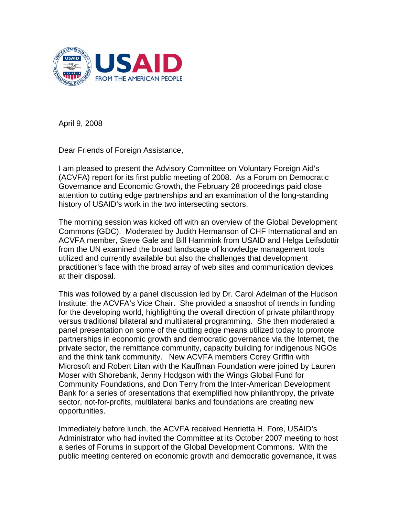

April 9, 2008

Dear Friends of Foreign Assistance,

I am pleased to present the Advisory Committee on Voluntary Foreign Aid's (ACVFA) report for its first public meeting of 2008. As a Forum on Democratic Governance and Economic Growth, the February 28 proceedings paid close attention to cutting edge partnerships and an examination of the long-standing history of USAID's work in the two intersecting sectors.

The morning session was kicked off with an overview of the Global Development Commons (GDC). Moderated by Judith Hermanson of CHF International and an ACVFA member, Steve Gale and Bill Hammink from USAID and Helga Leifsdottir from the UN examined the broad landscape of knowledge management tools utilized and currently available but also the challenges that development practitioner's face with the broad array of web sites and communication devices at their disposal.

This was followed by a panel discussion led by Dr. Carol Adelman of the Hudson Institute, the ACVFA's Vice Chair. She provided a snapshot of trends in funding for the developing world, highlighting the overall direction of private philanthropy versus traditional bilateral and multilateral programming. She then moderated a panel presentation on some of the cutting edge means utilized today to promote partnerships in economic growth and democratic governance via the Internet, the private sector, the remittance community, capacity building for indigenous NGOs and the think tank community. New ACVFA members Corey Griffin with Microsoft and Robert Litan with the Kauffman Foundation were joined by Lauren Moser with Shorebank, Jenny Hodgson with the Wings Global Fund for Community Foundations, and Don Terry from the Inter-American Development Bank for a series of presentations that exemplified how philanthropy, the private sector, not-for-profits, multilateral banks and foundations are creating new opportunities.

Immediately before lunch, the ACVFA received Henrietta H. Fore, USAID's Administrator who had invited the Committee at its October 2007 meeting to host a series of Forums in support of the Global Development Commons. With the public meeting centered on economic growth and democratic governance, it was